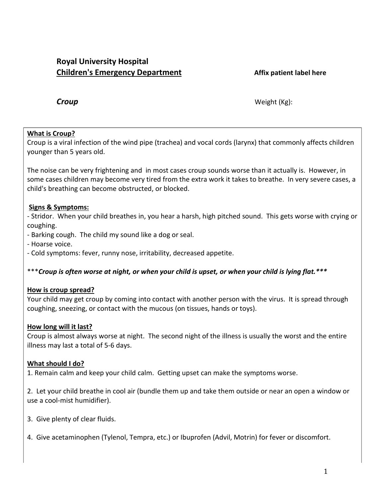# **Royal University Hospital Children's Emergency Department Affix patient label here**

*Croup* Weight (Kg):

## **What is Croup?**

Croup is a viral infection of the wind pipe (trachea) and vocal cords (larynx) that commonly affects children younger than 5 years old.

The noise can be very frightening and in most cases croup sounds worse than it actually is. However, in some cases children may become very tired from the extra work it takes to breathe. In very severe cases, a child's breathing can become obstructed, or blocked.

## **Signs & Symptoms:**

- Stridor. When your child breathes in, you hear a harsh, high pitched sound. This gets worse with crying or coughing.

- Barking cough. The child my sound like a dog or seal.

- Hoarse voice.

- Cold symptoms: fever, runny nose, irritability, decreased appetite.

\*\*\**Croup is often worse at night, or when your child is upset, or when your child is lying flat.\*\*\**

## **How is croup spread?**

Your child may get croup by coming into contact with another person with the virus. It is spread through coughing, sneezing, or contact with the mucous (on tissues, hands or toys).

## **How long will it last?**

Croup is almost always worse at night. The second night of the illness is usually the worst and the entire illness may last a total of 5-6 days.

## **What should I do?**

1. Remain calm and keep your child calm. Getting upset can make the symptoms worse.

2. Let your child breathe in cool air (bundle them up and take them outside or near an open a window or use a cool-mist humidifier).

- 3. Give plenty of clear fluids.
- 4. Give acetaminophen (Tylenol, Tempra, etc.) or Ibuprofen (Advil, Motrin) for fever or discomfort.